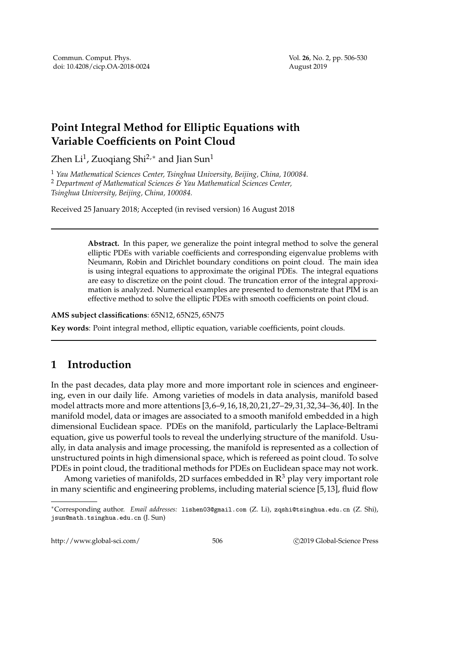## **Point Integral Method for Elliptic Equations with Variable Coefficients on Point Cloud**

Zhen Li $^1$ , Zuoqiang Shi $^{2,*}$  and Jian Sun $^1$ 

<sup>1</sup> *Yau Mathematical Sciences Center, Tsinghua University, Beijing, China, 100084.*

<sup>2</sup> *Department of Mathematical Sciences & Yau Mathematical Sciences Center, Tsinghua University, Beijing, China, 100084.*

Received 25 January 2018; Accepted (in revised version) 16 August 2018

**Abstract.** In this paper, we generalize the point integral method to solve the general elliptic PDEs with variable coefficients and corresponding eigenvalue problems with Neumann, Robin and Dirichlet boundary conditions on point cloud. The main idea is using integral equations to approximate the original PDEs. The integral equations are easy to discretize on the point cloud. The truncation error of the integral approximation is analyzed. Numerical examples are presented to demonstrate that PIM is an effective method to solve the elliptic PDEs with smooth coefficients on point cloud.

**AMS subject classifications**: 65N12, 65N25, 65N75

**Key words**: Point integral method, elliptic equation, variable coefficients, point clouds.

## **1 Introduction**

In the past decades, data play more and more important role in sciences and engineering, even in our daily life. Among varieties of models in data analysis, manifold based model attracts more and more attentions [3,6–9,16,18,20,21,27–29,31,32,34–36,40]. In the manifold model, data or images are associated to a smooth manifold embedded in a high dimensional Euclidean space. PDEs on the manifold, particularly the Laplace-Beltrami equation, give us powerful tools to reveal the underlying structure of the manifold. Usually, in data analysis and image processing, the manifold is represented as a collection of unstructured points in high dimensional space, which is refereed as point cloud. To solve PDEs in point cloud, the traditional methods for PDEs on Euclidean space may not work.

Among varieties of manifolds, 2D surfaces embedded in **R**<sup>3</sup> play very important role in many scientific and engineering problems, including material science [5,13], fluid flow

http://www.global-sci.com/ 506 c 2019 Global-Science Press

<sup>∗</sup>Corresponding author. *Email addresses:* lishen03@gmail.com (Z. Li), zqshi@tsinghua.edu.cn (Z. Shi), jsun@math.tsinghua.edu.cn (J. Sun)